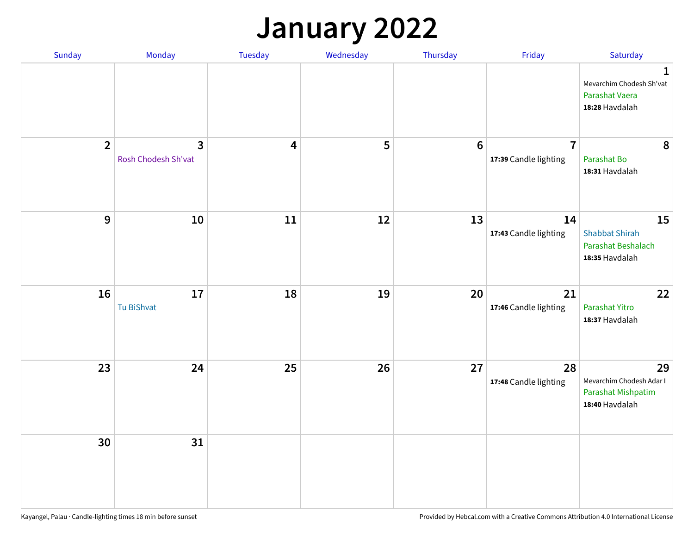## **January 2022**

| Sunday         | Monday                              | Tuesday                 | Wednesday | Thursday         | Friday                                  | Saturday                                                                     |
|----------------|-------------------------------------|-------------------------|-----------|------------------|-----------------------------------------|------------------------------------------------------------------------------|
|                |                                     |                         |           |                  |                                         | $\mathbf{1}$<br>Mevarchim Chodesh Sh'vat<br>Parashat Vaera<br>18:28 Havdalah |
| $\overline{2}$ | $\mathbf{3}$<br>Rosh Chodesh Sh'vat | $\overline{\mathbf{4}}$ | 5         | $\boldsymbol{6}$ | $\overline{7}$<br>17:39 Candle lighting | 8<br>Parashat Bo<br>18:31 Havdalah                                           |
| $\mathbf{9}$   | 10                                  | 11                      | 12        | 13               | 14<br>17:43 Candle lighting             | 15<br><b>Shabbat Shirah</b><br>Parashat Beshalach<br>18:35 Havdalah          |
| 16             | 17<br>Tu BiShvat                    | 18                      | 19        | 20               | 21<br>17:46 Candle lighting             | 22<br>Parashat Yitro<br>18:37 Havdalah                                       |
| 23             | 24                                  | 25                      | 26        | 27               | 28<br>17:48 Candle lighting             | 29<br>Mevarchim Chodesh Adar I<br>Parashat Mishpatim<br>18:40 Havdalah       |
| 30             | 31                                  |                         |           |                  |                                         |                                                                              |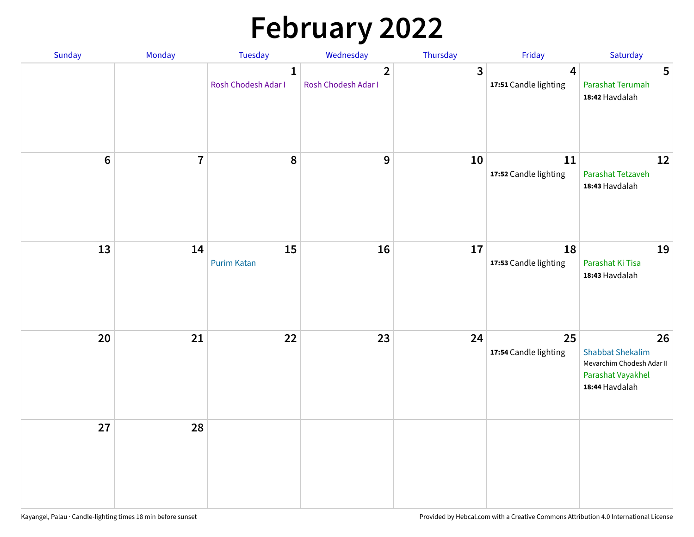# **February 2022**

| Sunday | Monday                  | <b>Tuesday</b>                      | Wednesday                                      | Thursday | Friday                                           | Saturday                                                                                          |
|--------|-------------------------|-------------------------------------|------------------------------------------------|----------|--------------------------------------------------|---------------------------------------------------------------------------------------------------|
|        |                         | $\mathbf{1}$<br>Rosh Chodesh Adar I | $\overline{\mathbf{2}}$<br>Rosh Chodesh Adar I | 3        | $\overline{\mathbf{4}}$<br>17:51 Candle lighting | 5<br>Parashat Terumah<br>18:42 Havdalah                                                           |
| $6\,$  | $\overline{\mathbf{7}}$ | 8                                   | $\boldsymbol{9}$                               | 10       | 11<br>17:52 Candle lighting                      | 12<br>Parashat Tetzaveh<br>18:43 Havdalah                                                         |
| 13     | 14                      | 15<br><b>Purim Katan</b>            | 16                                             | 17       | 18<br>17:53 Candle lighting                      | 19<br>Parashat Ki Tisa<br>18:43 Havdalah                                                          |
| 20     | 21                      | 22                                  | 23                                             | 24       | 25<br>17:54 Candle lighting                      | 26<br><b>Shabbat Shekalim</b><br>Mevarchim Chodesh Adar II<br>Parashat Vayakhel<br>18:44 Havdalah |
| 27     | 28                      |                                     |                                                |          |                                                  |                                                                                                   |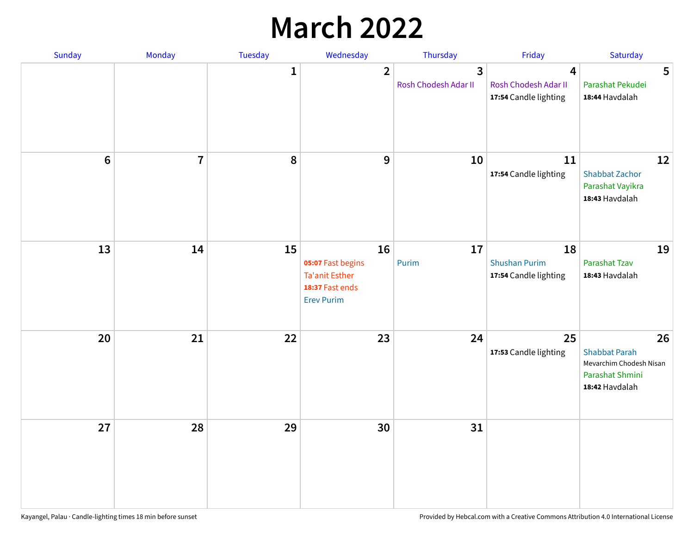## **March 2022**

| Sunday  | <b>Monday</b>           | Tuesday      | Wednesday                                                                                | Thursday                                        | Friday                                              | Saturday                                                                                   |
|---------|-------------------------|--------------|------------------------------------------------------------------------------------------|-------------------------------------------------|-----------------------------------------------------|--------------------------------------------------------------------------------------------|
|         |                         | $\mathbf{1}$ | $\overline{\mathbf{2}}$                                                                  | $\overline{\mathbf{3}}$<br>Rosh Chodesh Adar II | 4<br>Rosh Chodesh Adar II<br>17:54 Candle lighting  | 5<br>Parashat Pekudei<br>18:44 Havdalah                                                    |
| $\bf 6$ | $\overline{\mathbf{7}}$ | 8            | 9                                                                                        | 10                                              | 11<br>17:54 Candle lighting                         | 12<br><b>Shabbat Zachor</b><br>Parashat Vayikra<br>18:43 Havdalah                          |
| 13      | 14                      | 15           | 16<br>05:07 Fast begins<br><b>Ta'anit Esther</b><br>18:37 Fast ends<br><b>Erev Purim</b> | 17<br>Purim                                     | 18<br><b>Shushan Purim</b><br>17:54 Candle lighting | 19<br>Parashat Tzav<br>18:43 Havdalah                                                      |
| 20      | 21                      | 22           | 23                                                                                       | 24                                              | 25<br>17:53 Candle lighting                         | 26<br><b>Shabbat Parah</b><br>Mevarchim Chodesh Nisan<br>Parashat Shmini<br>18:42 Havdalah |
| 27      | 28                      | 29           | 30                                                                                       | 31                                              |                                                     |                                                                                            |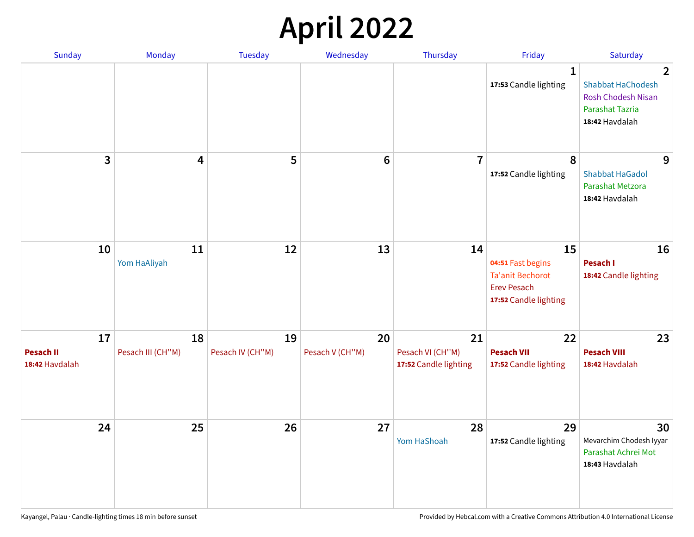## **April 2022**

| Sunday                                   | Monday                  | Tuesday                | Wednesday             | Thursday                                        | Friday                                                                                            | Saturday                                                                                                     |
|------------------------------------------|-------------------------|------------------------|-----------------------|-------------------------------------------------|---------------------------------------------------------------------------------------------------|--------------------------------------------------------------------------------------------------------------|
|                                          |                         |                        |                       |                                                 | 1<br>17:53 Candle lighting                                                                        | $\overline{2}$<br><b>Shabbat HaChodesh</b><br><b>Rosh Chodesh Nisan</b><br>Parashat Tazria<br>18:42 Havdalah |
| 3                                        | 4                       | 5                      | $6\phantom{1}6$       | $\overline{7}$                                  | 8<br>17:52 Candle lighting                                                                        | 9<br><b>Shabbat HaGadol</b><br>Parashat Metzora<br>18:42 Havdalah                                            |
| 10                                       | 11<br>Yom HaAliyah      | 12                     | 13                    | 14                                              | 15<br>04:51 Fast begins<br><b>Ta'anit Bechorot</b><br><b>Erev Pesach</b><br>17:52 Candle lighting | 16<br>Pesach I<br>18:42 Candle lighting                                                                      |
| 17<br><b>Pesach II</b><br>18:42 Havdalah | 18<br>Pesach III (CH"M) | 19<br>Pesach IV (CH"M) | 20<br>Pesach V (CH"M) | 21<br>Pesach VI (CH"M)<br>17:52 Candle lighting | 22<br><b>Pesach VII</b><br>17:52 Candle lighting                                                  | 23<br><b>Pesach VIII</b><br>18:42 Havdalah                                                                   |
| 24                                       | 25                      | 26                     | 27                    | 28<br>Yom HaShoah                               | 29<br>17:52 Candle lighting                                                                       | 30<br>Mevarchim Chodesh Iyyar<br>Parashat Achrei Mot<br>18:43 Havdalah                                       |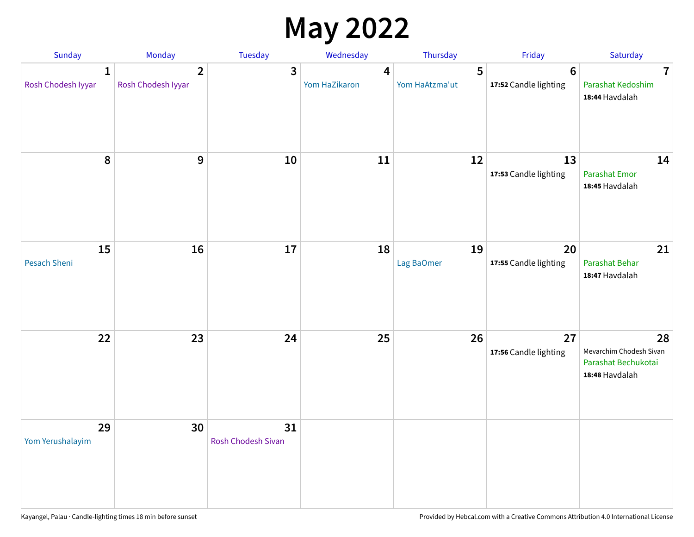## **May 2022**

| Sunday                  | Monday                               | Tuesday                         | Wednesday          | Thursday            | Friday                           | Saturday                                                               |
|-------------------------|--------------------------------------|---------------------------------|--------------------|---------------------|----------------------------------|------------------------------------------------------------------------|
| 1<br>Rosh Chodesh Iyyar | $\overline{2}$<br>Rosh Chodesh Iyyar | 3                               | 4<br>Yom HaZikaron | 5<br>Yom HaAtzma'ut | $\bf 6$<br>17:52 Candle lighting | $\overline{7}$<br>Parashat Kedoshim<br>18:44 Havdalah                  |
| $\pmb{8}$               | $9$                                  | $10\,$                          | 11                 | 12                  | 13<br>17:53 Candle lighting      | 14<br><b>Parashat Emor</b><br>18:45 Havdalah                           |
| 15<br>Pesach Sheni      | 16                                   | 17                              | 18                 | 19<br>Lag BaOmer    | 20<br>17:55 Candle lighting      | 21<br>Parashat Behar<br>18:47 Havdalah                                 |
| 22                      | 23                                   | 24                              | 25                 | 26                  | 27<br>17:56 Candle lighting      | 28<br>Mevarchim Chodesh Sivan<br>Parashat Bechukotai<br>18:48 Havdalah |
| 29<br>Yom Yerushalayim  | 30                                   | 31<br><b>Rosh Chodesh Sivan</b> |                    |                     |                                  |                                                                        |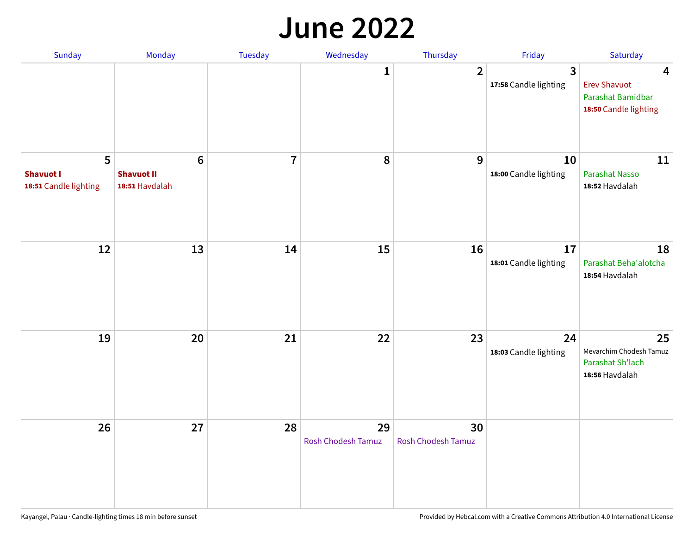#### **June 2022**

| Sunday                                         | Monday                                                 | Tuesday        | Wednesday                       | Thursday                        | Friday                      | Saturday                                                                                     |
|------------------------------------------------|--------------------------------------------------------|----------------|---------------------------------|---------------------------------|-----------------------------|----------------------------------------------------------------------------------------------|
|                                                |                                                        |                | 1                               | $\overline{2}$                  | 3<br>17:58 Candle lighting  | $\overline{\mathbf{4}}$<br><b>Erev Shavuot</b><br>Parashat Bamidbar<br>18:50 Candle lighting |
| 5<br><b>Shavuot I</b><br>18:51 Candle lighting | $6\phantom{1}6$<br><b>Shavuot II</b><br>18:51 Havdalah | $\overline{7}$ | 8                               | 9                               | 10<br>18:00 Candle lighting | 11<br>Parashat Nasso<br>18:52 Havdalah                                                       |
| 12                                             | 13                                                     | 14             | 15                              | 16                              | 17<br>18:01 Candle lighting | 18<br>Parashat Beha'alotcha<br>18:54 Havdalah                                                |
| 19                                             | 20                                                     | 21             | 22                              | 23                              | 24<br>18:03 Candle lighting | 25<br>Mevarchim Chodesh Tamuz<br>Parashat Sh'lach<br>18:56 Havdalah                          |
| 26                                             | 27                                                     | 28             | 29<br><b>Rosh Chodesh Tamuz</b> | 30<br><b>Rosh Chodesh Tamuz</b> |                             |                                                                                              |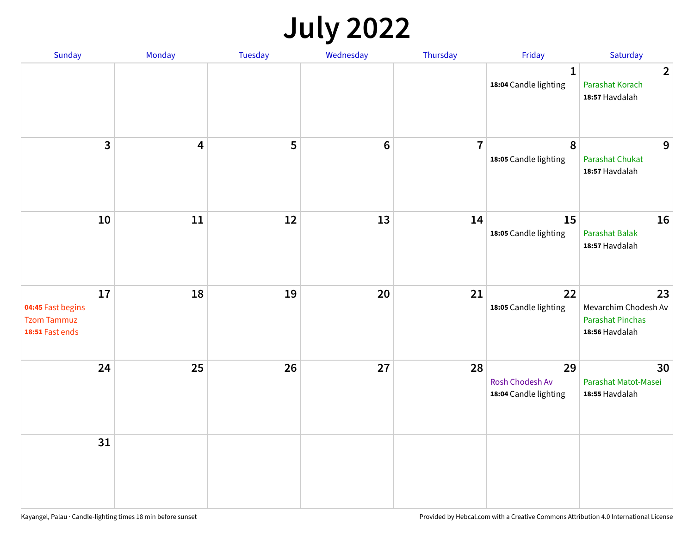## **July 2022**

| Sunday                                                           | Monday     | Tuesday | Wednesday | Thursday       | Friday                                                | Saturday                                                                |
|------------------------------------------------------------------|------------|---------|-----------|----------------|-------------------------------------------------------|-------------------------------------------------------------------------|
|                                                                  |            |         |           |                | $\mathbf{1}$<br>18:04 Candle lighting                 | $\overline{2}$<br>Parashat Korach<br>18:57 Havdalah                     |
| $\overline{\mathbf{3}}$                                          | 4          | 5       | $\bf 6$   | $\overline{7}$ | 8<br>18:05 Candle lighting                            | 9<br><b>Parashat Chukat</b><br>18:57 Havdalah                           |
| 10                                                               | ${\bf 11}$ | 12      | 13        | 14             | 15<br>18:05 Candle lighting                           | 16<br><b>Parashat Balak</b><br>18:57 Havdalah                           |
| 17<br>04:45 Fast begins<br><b>Tzom Tammuz</b><br>18:51 Fast ends | 18         | 19      | 20        | 21             | 22<br>18:05 Candle lighting                           | 23<br>Mevarchim Chodesh Av<br><b>Parashat Pinchas</b><br>18:56 Havdalah |
| 24                                                               | 25         | 26      | 27        | 28             | 29<br><b>Rosh Chodesh Av</b><br>18:04 Candle lighting | 30<br>Parashat Matot-Masei<br>18:55 Havdalah                            |
| 31                                                               |            |         |           |                |                                                       |                                                                         |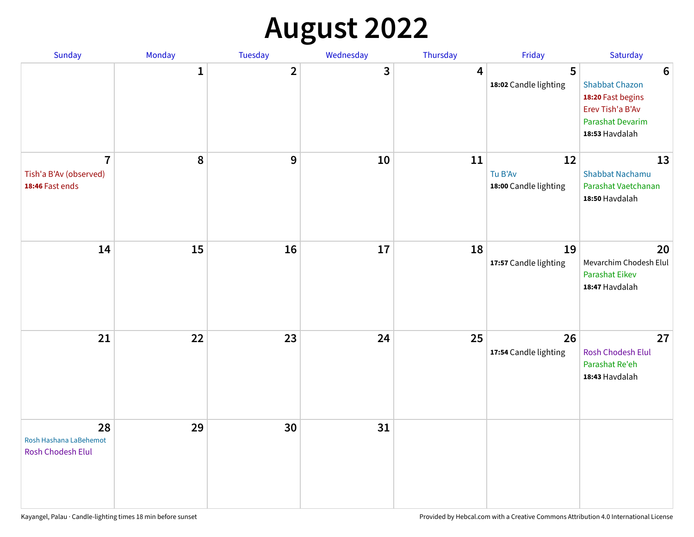## **August 2022**

| Sunday                                                      | Monday       | <b>Tuesday</b> | Wednesday | Thursday | Friday                                 | Saturday                                                                                                                       |
|-------------------------------------------------------------|--------------|----------------|-----------|----------|----------------------------------------|--------------------------------------------------------------------------------------------------------------------------------|
|                                                             | $\mathbf{1}$ | $\overline{2}$ | 3         | 4        | 5<br>18:02 Candle lighting             | $6\phantom{1}6$<br><b>Shabbat Chazon</b><br>18:20 Fast begins<br>Erev Tish'a B'Av<br><b>Parashat Devarim</b><br>18:53 Havdalah |
| $\overline{7}$<br>Tish'a B'Av (observed)<br>18:46 Fast ends | ${\bf 8}$    | 9              | 10        | 11       | 12<br>Tu B'Av<br>18:00 Candle lighting | 13<br><b>Shabbat Nachamu</b><br>Parashat Vaetchanan<br>18:50 Havdalah                                                          |
| 14                                                          | 15           | 16             | 17        | 18       | 19<br>17:57 Candle lighting            | 20<br>Mevarchim Chodesh Elul<br>Parashat Eikev<br>18:47 Havdalah                                                               |
| 21                                                          | 22           | 23             | 24        | 25       | 26<br>17:54 Candle lighting            | 27<br>Rosh Chodesh Elul<br>Parashat Re'eh<br>18:43 Havdalah                                                                    |
| 28<br>Rosh Hashana LaBehemot<br><b>Rosh Chodesh Elul</b>    | 29           | 30             | 31        |          |                                        |                                                                                                                                |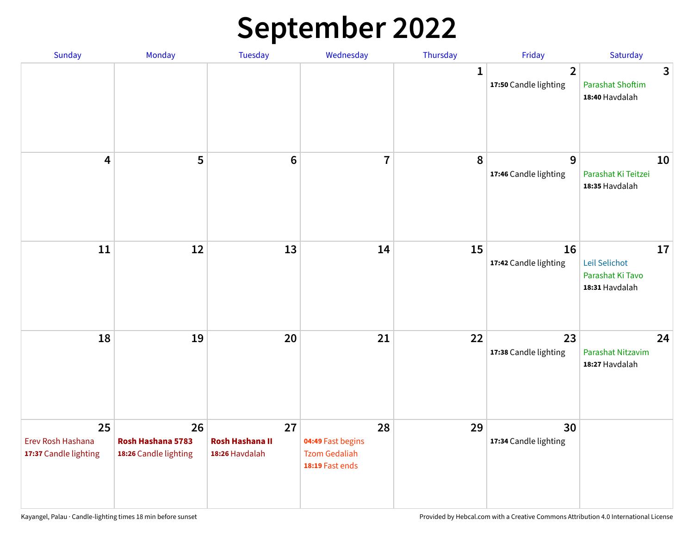## **September 2022**

| Sunday                                           | Monday                                           | Tuesday                                        | Wednesday                                                          | Thursday     | Friday                                  | Saturday                                                  |
|--------------------------------------------------|--------------------------------------------------|------------------------------------------------|--------------------------------------------------------------------|--------------|-----------------------------------------|-----------------------------------------------------------|
|                                                  |                                                  |                                                |                                                                    | $\mathbf{1}$ | $\overline{2}$<br>17:50 Candle lighting | 3<br><b>Parashat Shoftim</b><br>18:40 Havdalah            |
| $\overline{\mathbf{4}}$                          | 5                                                | $6\phantom{1}6$                                | $\overline{7}$                                                     | 8            | 9<br>17:46 Candle lighting              | 10<br>Parashat Ki Teitzei<br>18:35 Havdalah               |
| 11                                               | 12                                               | 13                                             | 14                                                                 | 15           | 16<br>17:42 Candle lighting             | 17<br>Leil Selichot<br>Parashat Ki Tavo<br>18:31 Havdalah |
| 18                                               | 19                                               | 20                                             | 21                                                                 | 22           | 23<br>17:38 Candle lighting             | 24<br>Parashat Nitzavim<br>18:27 Havdalah                 |
| 25<br>Erev Rosh Hashana<br>17:37 Candle lighting | 26<br>Rosh Hashana 5783<br>18:26 Candle lighting | 27<br><b>Rosh Hashana II</b><br>18:26 Havdalah | 28<br>04:49 Fast begins<br><b>Tzom Gedaliah</b><br>18:19 Fast ends | 29           | 30<br>17:34 Candle lighting             |                                                           |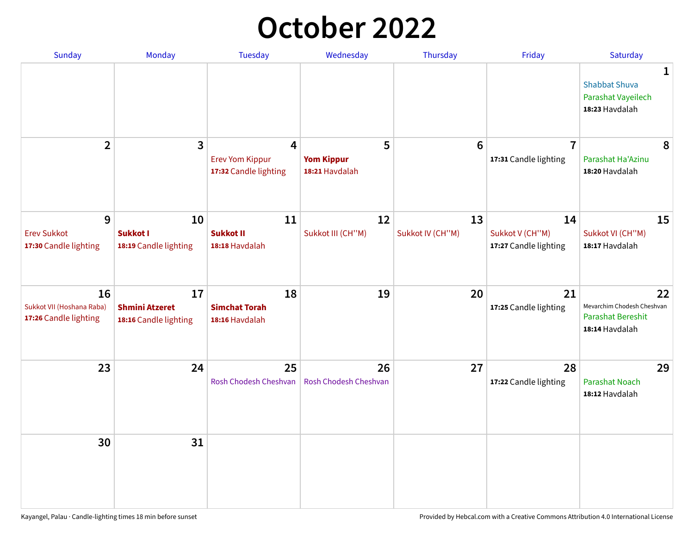## **October 2022**

| Sunday                                                   | Monday                                               | <b>Tuesday</b>                                                    | Wednesday                                | Thursday               | Friday                                         | Saturday                                                                |
|----------------------------------------------------------|------------------------------------------------------|-------------------------------------------------------------------|------------------------------------------|------------------------|------------------------------------------------|-------------------------------------------------------------------------|
|                                                          |                                                      |                                                                   |                                          |                        |                                                | 1<br><b>Shabbat Shuva</b><br>Parashat Vayeilech<br>18:23 Havdalah       |
| $\overline{2}$                                           | $\overline{\mathbf{3}}$                              | $\overline{4}$<br><b>Erev Yom Kippur</b><br>17:32 Candle lighting | 5<br><b>Yom Kippur</b><br>18:21 Havdalah | 6                      | $\overline{7}$<br>17:31 Candle lighting        | 8<br>Parashat Ha'Azinu<br>18:20 Havdalah                                |
| 9<br><b>Erev Sukkot</b><br>17:30 Candle lighting         | 10<br><b>Sukkot I</b><br>18:19 Candle lighting       | 11<br><b>Sukkot II</b><br>18:18 Havdalah                          | 12<br>Sukkot III (CH"M)                  | 13<br>Sukkot IV (CH"M) | 14<br>Sukkot V (CH"M)<br>17:27 Candle lighting | 15<br>Sukkot VI (CH"M)<br>18:17 Havdalah                                |
| 16<br>Sukkot VII (Hoshana Raba)<br>17:26 Candle lighting | 17<br><b>Shmini Atzeret</b><br>18:16 Candle lighting | 18<br><b>Simchat Torah</b><br>18:16 Havdalah                      | 19                                       | 20                     | 21<br>17:25 Candle lighting                    | 22<br>Mevarchim Chodesh Cheshvan<br>Parashat Bereshit<br>18:14 Havdalah |
| 23                                                       | 24                                                   | 25<br>Rosh Chodesh Cheshvan                                       | 26<br>Rosh Chodesh Cheshvan              | 27                     | 28<br>17:22 Candle lighting                    | 29<br><b>Parashat Noach</b><br>18:12 Havdalah                           |
| 30                                                       | 31                                                   |                                                                   |                                          |                        |                                                |                                                                         |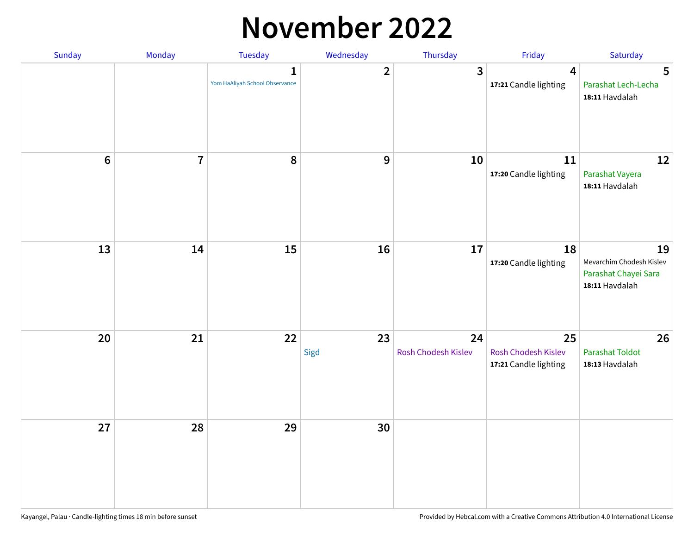#### **November 2022**

| Sunday  | Monday         | Tuesday                             | Wednesday        | Thursday                  | Friday                                             | Saturday                                                                 |
|---------|----------------|-------------------------------------|------------------|---------------------------|----------------------------------------------------|--------------------------------------------------------------------------|
|         |                | 1<br>Yom HaAliyah School Observance | $\overline{2}$   | $\overline{3}$            | $\overline{\mathbf{4}}$<br>17:21 Candle lighting   | 5<br>Parashat Lech-Lecha<br>18:11 Havdalah                               |
| $\bf 6$ | $\overline{7}$ | 8                                   | $\boldsymbol{9}$ | 10                        | 11<br>17:20 Candle lighting                        | 12<br>Parashat Vayera<br>18:11 Havdalah                                  |
| 13      | 14             | 15                                  | 16               | $17\,$                    | 18<br>17:20 Candle lighting                        | 19<br>Mevarchim Chodesh Kislev<br>Parashat Chayei Sara<br>18:11 Havdalah |
| 20      | 21             | 22                                  | 23<br>Sigd       | 24<br>Rosh Chodesh Kislev | 25<br>Rosh Chodesh Kislev<br>17:21 Candle lighting | 26<br><b>Parashat Toldot</b><br>18:13 Havdalah                           |
| 27      | 28             | 29                                  | 30               |                           |                                                    |                                                                          |